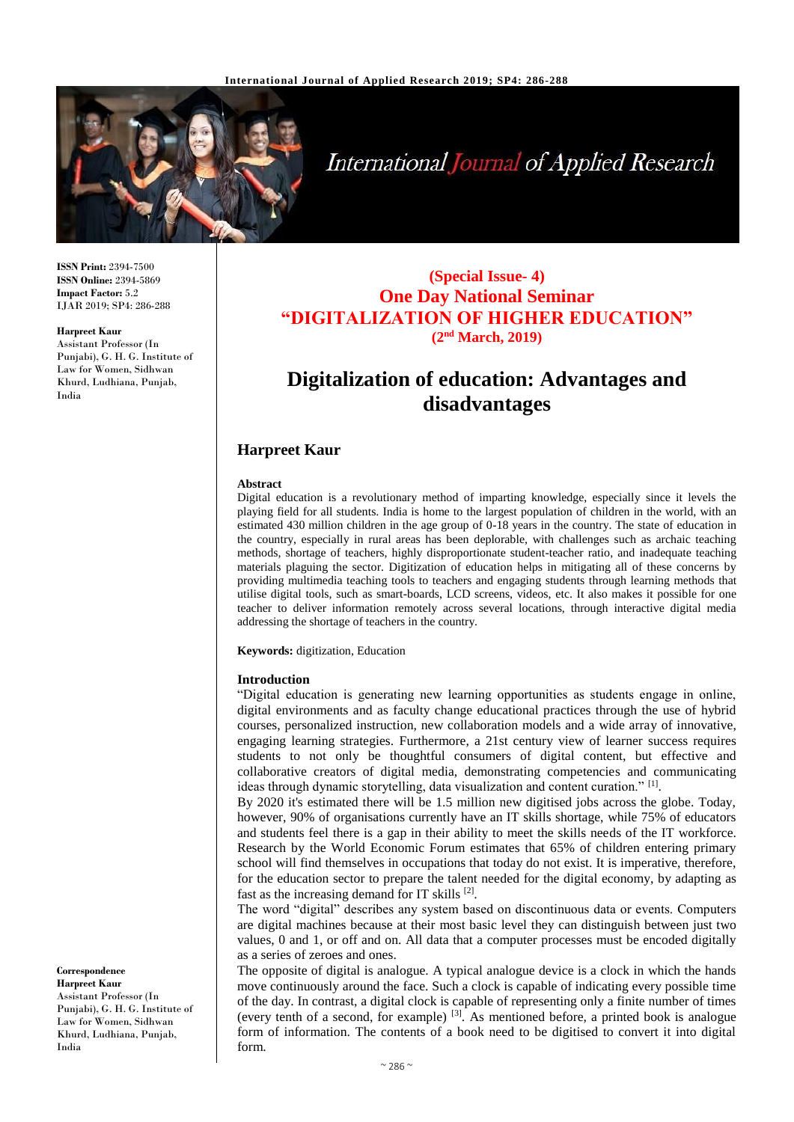

# **International Journal of Applied Research**

**ISSN Print:** 2394-7500 **ISSN Online:** 2394-5869 **Impact Factor:** 5.2 IJAR 2019; SP4: 286-288

#### **Harpreet Kaur**

Assistant Professor (In Punjabi), G. H. G. Institute of Law for Women, Sidhwan Khurd, Ludhiana, Punjab, India

## **(Special Issue- 4) One Day National Seminar "DIGITALIZATION OF HIGHER EDUCATION" (2nd March, 2019)**

## **Digitalization of education: Advantages and disadvantages**

## **Harpreet Kaur**

#### **Abstract**

Digital education is a revolutionary method of imparting knowledge, especially since it levels the playing field for all students. India is home to the largest population of children in the world, with an estimated 430 million children in the age group of 0-18 years in the country. The state of education in the country, especially in rural areas has been deplorable, with challenges such as archaic teaching methods, shortage of teachers, highly disproportionate student-teacher ratio, and inadequate teaching materials plaguing the sector. Digitization of education helps in mitigating all of these concerns by providing multimedia teaching tools to teachers and engaging students through learning methods that utilise digital tools, such as smart-boards, LCD screens, videos, etc. It also makes it possible for one teacher to deliver information remotely across several locations, through interactive digital media addressing the shortage of teachers in the country.

**Keywords:** digitization, Education

#### **Introduction**

"Digital education is generating new learning opportunities as students engage in online, digital environments and as faculty change educational practices through the use of hybrid courses, personalized instruction, new collaboration models and a wide array of innovative, engaging learning strategies. Furthermore, a 21st century view of learner success requires students to not only be thoughtful consumers of digital content, but effective and collaborative creators of digital media, demonstrating competencies and communicating ideas through dynamic storytelling, data visualization and content curation." [1].

By 2020 it's estimated there will be 1.5 million new digitised jobs across the globe. Today, however, 90% of organisations currently have an IT skills shortage, while 75% of educators and students feel there is a gap in their ability to meet the skills needs of the IT workforce. Research by the World Economic Forum estimates that 65% of children entering primary school will find themselves in occupations that today do not exist. It is imperative, therefore, for the education sector to prepare the talent needed for the digital economy, by adapting as fast as the increasing demand for IT skills [2].

The word "digital" describes any system based on discontinuous data or events. Computers are digital machines because at their most basic level they can distinguish between just two values, 0 and 1, or off and on. All data that a computer processes must be encoded digitally as a series of zeroes and ones.

The opposite of digital is analogue. A typical analogue device is a clock in which the hands move continuously around the face. Such a clock is capable of indicating every possible time of the day. In contrast, a digital clock is capable of representing only a finite number of times (every tenth of a second, for example) [3] . As mentioned before, a printed book is analogue form of information. The contents of a book need to be digitised to convert it into digital form.

**Correspondence Harpreet Kaur** Assistant Professor (In Punjabi), G. H. G. Institute of Law for Women, Sidhwan Khurd, Ludhiana, Punjab, India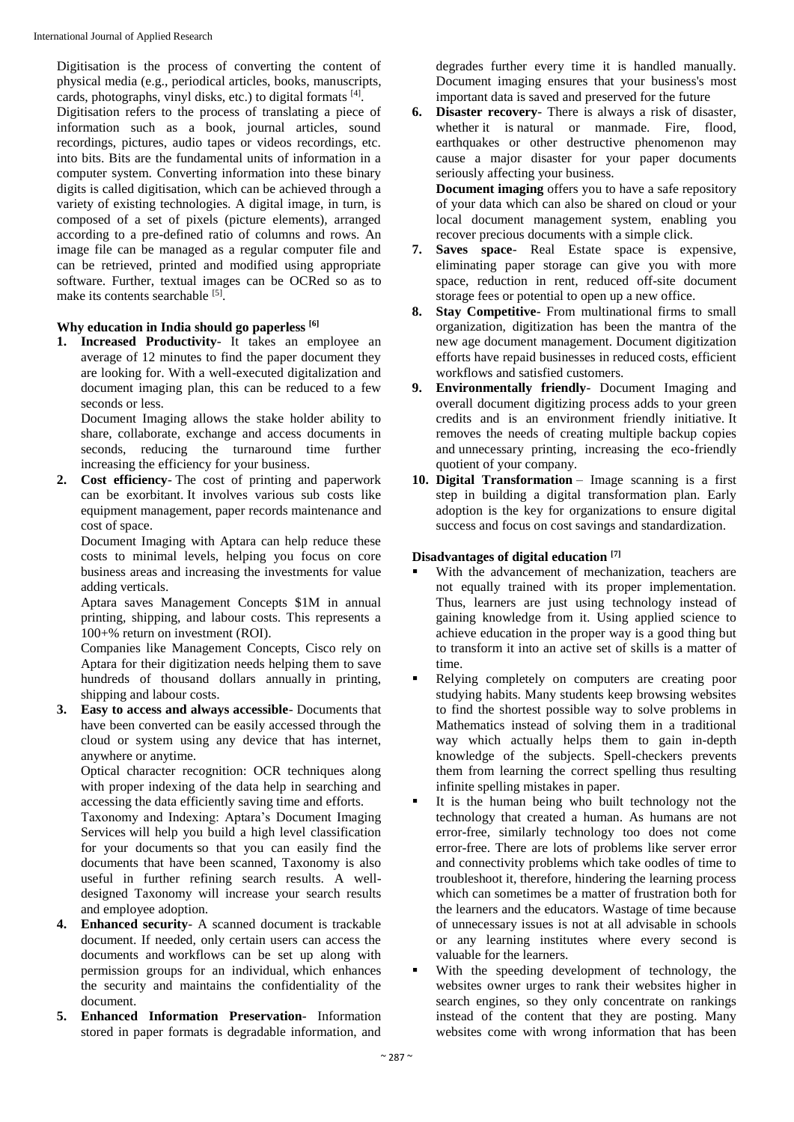Digitisation is the process of converting the content of physical media (e.g., periodical articles, books, manuscripts, cards, photographs, vinyl disks, etc.) to digital formats [4].

Digitisation refers to the process of translating a piece of information such as a book, journal articles, sound recordings, pictures, audio tapes or videos recordings, etc. into bits. Bits are the fundamental units of information in a computer system. Converting information into these binary digits is called digitisation, which can be achieved through a variety of existing technologies. A digital image, in turn, is composed of a set of pixels (picture elements), arranged according to a pre-defined ratio of columns and rows. An image file can be managed as a regular computer file and can be retrieved, printed and modified using appropriate software. Further, textual images can be OCRed so as to make its contents searchable [5].

## **Why education in India should go paperless [6]**

**1. Increased Productivity**- It takes an employee an average of 12 minutes to find the paper document they are looking for. With a well-executed digitalization and document imaging plan, this can be reduced to a few seconds or less.

Document Imaging allows the stake holder ability to share, collaborate, exchange and access documents in seconds, reducing the turnaround time further increasing the efficiency for your business.

**2. Cost efficiency**- The cost of printing and paperwork can be exorbitant. It involves various sub costs like equipment management, paper records maintenance and cost of space.

Document Imaging with Aptara can help reduce these costs to minimal levels, helping you focus on core business areas and increasing the investments for value adding verticals.

Aptara saves Management Concepts \$1M in annual printing, shipping, and labour costs. This represents a 100+% return on investment (ROI).

Companies like Management Concepts, Cisco rely on Aptara for their digitization needs helping them to save hundreds of thousand dollars annually in printing, shipping and labour costs.

**3. Easy to access and always accessible**- Documents that have been converted can be easily accessed through the cloud or system using any device that has internet, anywhere or anytime.

Optical character recognition: OCR techniques along with proper indexing of the data help in searching and accessing the data efficiently saving time and efforts.

Taxonomy and Indexing: Aptara's Document Imaging Services will help you build a high level classification for your documents so that you can easily find the documents that have been scanned, Taxonomy is also useful in further refining search results. A welldesigned Taxonomy will increase your search results and employee adoption.

- **4. Enhanced security** A scanned document is trackable document. If needed, only certain users can access the documents and workflows can be set up along with permission groups for an individual, which enhances the security and maintains the confidentiality of the document.
- **5. Enhanced Information Preservation** Information stored in paper formats is degradable information, and

degrades further every time it is handled manually. Document imaging ensures that your business's most important data is saved and preserved for the future

**6. Disaster recovery**- There is always a risk of disaster, whether it is natural or manmade. Fire, flood, earthquakes or other destructive phenomenon may cause a major disaster for your paper documents seriously affecting your business.

**Document imaging** offers you to have a safe repository of your data which can also be shared on cloud or your local document management system, enabling you recover precious documents with a simple click.

- **7. Saves space** Real Estate space is expensive, eliminating paper storage can give you with more space, reduction in rent, reduced off-site document storage fees or potential to open up a new office.
- **8. Stay Competitive** From multinational firms to small organization, digitization has been the mantra of the new age document management. Document digitization efforts have repaid businesses in reduced costs, efficient workflows and satisfied customers.
- **9. Environmentally friendly** Document Imaging and overall document digitizing process adds to your green credits and is an environment friendly initiative. It removes the needs of creating multiple backup copies and unnecessary printing, increasing the eco-friendly quotient of your company.
- **10. Digital Transformation** Image scanning is a first step in building a digital transformation plan. Early adoption is the key for organizations to ensure digital success and focus on cost savings and standardization.

## **Disadvantages of digital education [7]**

- With the advancement of mechanization, teachers are not equally trained with its proper implementation. Thus, learners are just using technology instead of gaining knowledge from it. Using applied science to achieve education in the proper way is a good thing but to transform it into an active set of skills is a matter of time.
- Relying completely on computers are creating poor studying habits. Many students keep browsing websites to find the shortest possible way to solve problems in Mathematics instead of solving them in a traditional way which actually helps them to gain in-depth knowledge of the subjects. Spell-checkers prevents them from learning the correct spelling thus resulting infinite spelling mistakes in paper.
- It is the human being who built technology not the technology that created a human. As humans are not error-free, similarly technology too does not come error-free. There are lots of problems like server error and connectivity problems which take oodles of time to troubleshoot it, therefore, hindering the learning process which can sometimes be a matter of frustration both for the learners and the educators. Wastage of time because of unnecessary issues is not at all advisable in schools or any learning institutes where every second is valuable for the learners.
- With the speeding development of technology, the websites owner urges to rank their websites higher in search engines, so they only concentrate on rankings instead of the content that they are posting. Many websites come with wrong information that has been